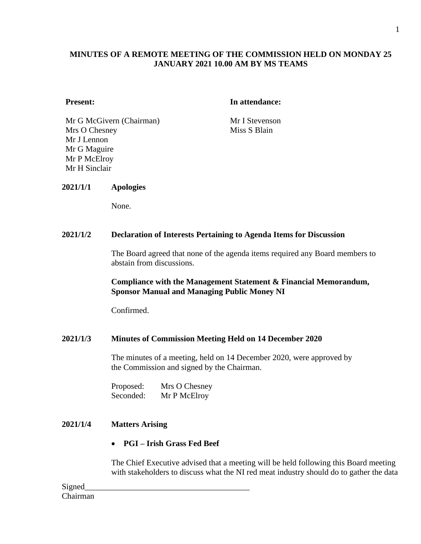## **MINUTES OF A REMOTE MEETING OF THE COMMISSION HELD ON MONDAY 25 JANUARY 2021 10.00 AM BY MS TEAMS**

#### **Present: In attendance:**

Mr G McGivern (Chairman) Mr I Stevenson Mrs O Chesney Mr J Lennon Mr G Maguire Mr P McElroy Mr H Sinclair

Miss S Blain

### **2021/1/1 Apologies**

None.

#### **2021/1/2 Declaration of Interests Pertaining to Agenda Items for Discussion**

The Board agreed that none of the agenda items required any Board members to abstain from discussions.

### **Compliance with the Management Statement & Financial Memorandum, Sponsor Manual and Managing Public Money NI**

Confirmed.

### **2021/1/3 Minutes of Commission Meeting Held on 14 December 2020**

The minutes of a meeting, held on 14 December 2020, were approved by the Commission and signed by the Chairman.

| Proposed: | Mrs O Chesney |
|-----------|---------------|
| Seconded: | Mr P McElroy  |

## **2021/1/4 Matters Arising**

## • **PGI – Irish Grass Fed Beef**

The Chief Executive advised that a meeting will be held following this Board meeting with stakeholders to discuss what the NI red meat industry should do to gather the data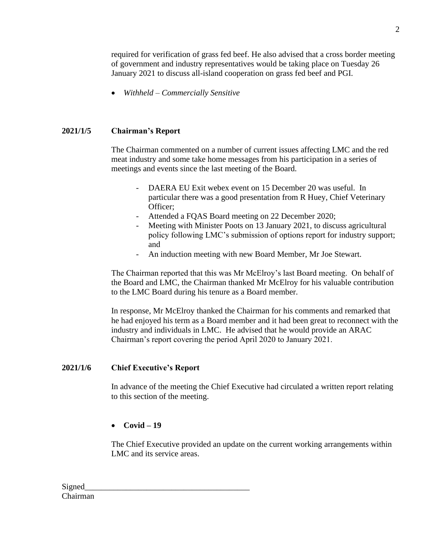required for verification of grass fed beef. He also advised that a cross border meeting of government and industry representatives would be taking place on Tuesday 26 January 2021 to discuss all-island cooperation on grass fed beef and PGI.

• *Withheld – Commercially Sensitive*

## **2021/1/5 Chairman's Report**

The Chairman commented on a number of current issues affecting LMC and the red meat industry and some take home messages from his participation in a series of meetings and events since the last meeting of the Board.

- DAERA EU Exit webex event on 15 December 20 was useful. In particular there was a good presentation from R Huey, Chief Veterinary Officer;
- Attended a FQAS Board meeting on 22 December 2020;
- Meeting with Minister Poots on 13 January 2021, to discuss agricultural policy following LMC's submission of options report for industry support; and
- An induction meeting with new Board Member, Mr Joe Stewart.

The Chairman reported that this was Mr McElroy's last Board meeting. On behalf of the Board and LMC, the Chairman thanked Mr McElroy for his valuable contribution to the LMC Board during his tenure as a Board member.

In response, Mr McElroy thanked the Chairman for his comments and remarked that he had enjoyed his term as a Board member and it had been great to reconnect with the industry and individuals in LMC. He advised that he would provide an ARAC Chairman's report covering the period April 2020 to January 2021.

## **2021/1/6 Chief Executive's Report**

In advance of the meeting the Chief Executive had circulated a written report relating to this section of the meeting.

## • **Covid – 19**

The Chief Executive provided an update on the current working arrangements within LMC and its service areas.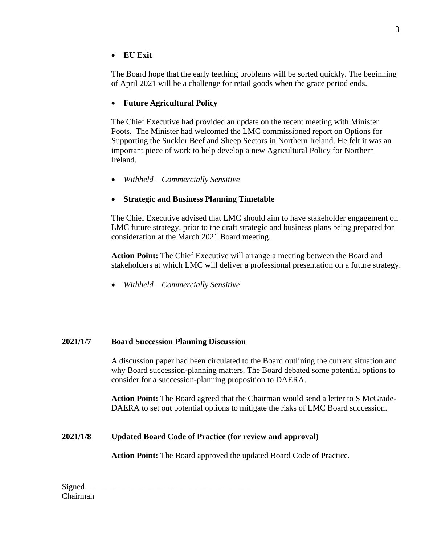# • **EU Exit**

The Board hope that the early teething problems will be sorted quickly. The beginning of April 2021 will be a challenge for retail goods when the grace period ends.

# • **Future Agricultural Policy**

The Chief Executive had provided an update on the recent meeting with Minister Poots. The Minister had welcomed the LMC commissioned report on Options for Supporting the Suckler Beef and Sheep Sectors in Northern Ireland. He felt it was an important piece of work to help develop a new Agricultural Policy for Northern Ireland.

• *Withheld – Commercially Sensitive*

# • **Strategic and Business Planning Timetable**

The Chief Executive advised that LMC should aim to have stakeholder engagement on LMC future strategy, prior to the draft strategic and business plans being prepared for consideration at the March 2021 Board meeting.

**Action Point:** The Chief Executive will arrange a meeting between the Board and stakeholders at which LMC will deliver a professional presentation on a future strategy.

• *Withheld – Commercially Sensitive*

# **2021/1/7 Board Succession Planning Discussion**

A discussion paper had been circulated to the Board outlining the current situation and why Board succession-planning matters. The Board debated some potential options to consider for a succession-planning proposition to DAERA.

**Action Point:** The Board agreed that the Chairman would send a letter to S McGrade-DAERA to set out potential options to mitigate the risks of LMC Board succession.

# **2021/1/8 Updated Board Code of Practice (for review and approval)**

**Action Point:** The Board approved the updated Board Code of Practice.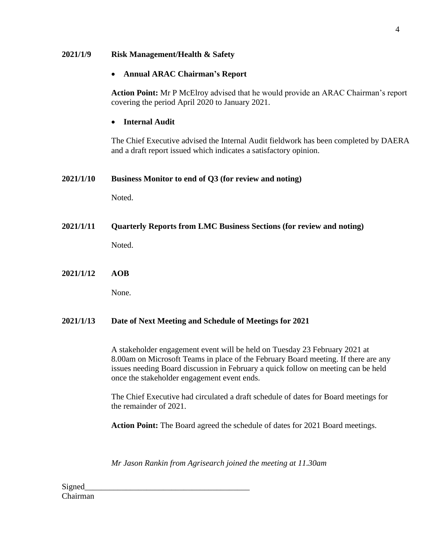| 2021/1/9  | <b>Risk Management/Health &amp; Safety</b>                                                                                                                                                                                                                                                           |  |
|-----------|------------------------------------------------------------------------------------------------------------------------------------------------------------------------------------------------------------------------------------------------------------------------------------------------------|--|
|           | <b>Annual ARAC Chairman's Report</b><br>$\bullet$                                                                                                                                                                                                                                                    |  |
|           | Action Point: Mr P McElroy advised that he would provide an ARAC Chairman's report<br>covering the period April 2020 to January 2021.                                                                                                                                                                |  |
|           | <b>Internal Audit</b>                                                                                                                                                                                                                                                                                |  |
|           | The Chief Executive advised the Internal Audit fieldwork has been completed by DAERA<br>and a draft report issued which indicates a satisfactory opinion.                                                                                                                                            |  |
| 2021/1/10 | Business Monitor to end of Q3 (for review and noting)                                                                                                                                                                                                                                                |  |
|           | Noted.                                                                                                                                                                                                                                                                                               |  |
| 2021/1/11 | <b>Quarterly Reports from LMC Business Sections (for review and noting)</b>                                                                                                                                                                                                                          |  |
|           | Noted.                                                                                                                                                                                                                                                                                               |  |
| 2021/1/12 | <b>AOB</b>                                                                                                                                                                                                                                                                                           |  |
|           | None.                                                                                                                                                                                                                                                                                                |  |
| 2021/1/13 | Date of Next Meeting and Schedule of Meetings for 2021                                                                                                                                                                                                                                               |  |
|           | A stakeholder engagement event will be held on Tuesday 23 February 2021 at<br>8.00am on Microsoft Teams in place of the February Board meeting. If there are any<br>issues needing Board discussion in February a quick follow on meeting can be held<br>once the stakeholder engagement event ends. |  |
|           | The Chief Executive had circulated a draft schedule of dates for Board meetings for<br>the remainder of 2021.                                                                                                                                                                                        |  |
|           | <b>Action Point:</b> The Board agreed the schedule of dates for 2021 Board meetings.                                                                                                                                                                                                                 |  |

*Mr Jason Rankin from Agrisearch joined the meeting at 11.30am*